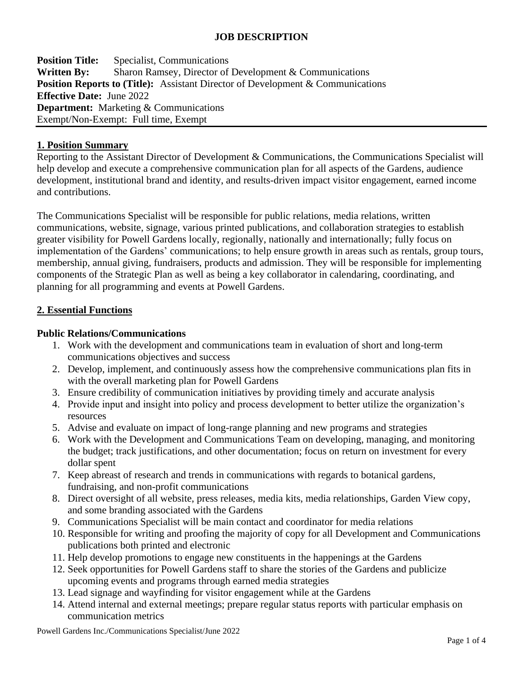# **JOB DESCRIPTION**

**Position Title:** Specialist, Communications **Written By:** Sharon Ramsey, Director of Development & Communications **Position Reports to (Title):** Assistant Director of Development & Communications **Effective Date:** June 2022 **Department:** Marketing & Communications Exempt/Non-Exempt: Full time, Exempt

#### **1. Position Summary**

Reporting to the Assistant Director of Development & Communications, the Communications Specialist will help develop and execute a comprehensive communication plan for all aspects of the Gardens, audience development, institutional brand and identity, and results-driven impact visitor engagement, earned income and contributions.

The Communications Specialist will be responsible for public relations, media relations, written communications, website, signage, various printed publications, and collaboration strategies to establish greater visibility for Powell Gardens locally, regionally, nationally and internationally; fully focus on implementation of the Gardens' communications; to help ensure growth in areas such as rentals, group tours, membership, annual giving, fundraisers, products and admission. They will be responsible for implementing components of the Strategic Plan as well as being a key collaborator in calendaring, coordinating, and planning for all programming and events at Powell Gardens.

### **2. Essential Functions**

#### **Public Relations/Communications**

- 1. Work with the development and communications team in evaluation of short and long-term communications objectives and success
- 2. Develop, implement, and continuously assess how the comprehensive communications plan fits in with the overall marketing plan for Powell Gardens
- 3. Ensure credibility of communication initiatives by providing timely and accurate analysis
- 4. Provide input and insight into policy and process development to better utilize the organization's resources
- 5. Advise and evaluate on impact of long-range planning and new programs and strategies
- 6. Work with the Development and Communications Team on developing, managing, and monitoring the budget; track justifications, and other documentation; focus on return on investment for every dollar spent
- 7. Keep abreast of research and trends in communications with regards to botanical gardens, fundraising, and non-profit communications
- 8. Direct oversight of all website, press releases, media kits, media relationships, Garden View copy, and some branding associated with the Gardens
- 9. Communications Specialist will be main contact and coordinator for media relations
- 10. Responsible for writing and proofing the majority of copy for all Development and Communications publications both printed and electronic
- 11. Help develop promotions to engage new constituents in the happenings at the Gardens
- 12. Seek opportunities for Powell Gardens staff to share the stories of the Gardens and publicize upcoming events and programs through earned media strategies
- 13. Lead signage and wayfinding for visitor engagement while at the Gardens
- 14. Attend internal and external meetings; prepare regular status reports with particular emphasis on communication metrics

Powell Gardens Inc./Communications Specialist/June 2022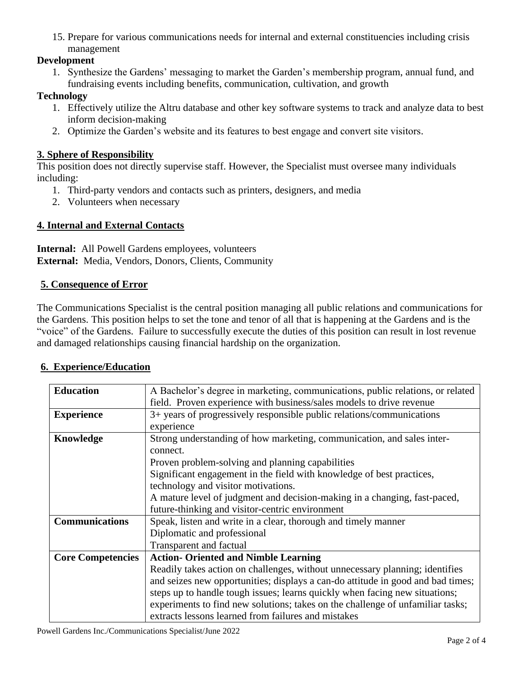15. Prepare for various communications needs for internal and external constituencies including crisis management

# **Development**

1. Synthesize the Gardens' messaging to market the Garden's membership program, annual fund, and fundraising events including benefits, communication, cultivation, and growth

# **Technology**

- 1. Effectively utilize the Altru database and other key software systems to track and analyze data to best inform decision-making
- 2. Optimize the Garden's website and its features to best engage and convert site visitors.

# **3. Sphere of Responsibility**

This position does not directly supervise staff. However, the Specialist must oversee many individuals including:

- 1. Third-party vendors and contacts such as printers, designers, and media
- 2. Volunteers when necessary

# **4. Internal and External Contacts**

**Internal:** All Powell Gardens employees, volunteers **External:** Media, Vendors, Donors, Clients, Community

# **5. Consequence of Error**

The Communications Specialist is the central position managing all public relations and communications for the Gardens. This position helps to set the tone and tenor of all that is happening at the Gardens and is the "voice" of the Gardens. Failure to successfully execute the duties of this position can result in lost revenue and damaged relationships causing financial hardship on the organization.

# **6. Experience/Education**

| <b>Education</b>         | A Bachelor's degree in marketing, communications, public relations, or related  |
|--------------------------|---------------------------------------------------------------------------------|
|                          | field. Proven experience with business/sales models to drive revenue            |
| <b>Experience</b>        | 3+ years of progressively responsible public relations/communications           |
|                          | experience                                                                      |
| Knowledge                | Strong understanding of how marketing, communication, and sales inter-          |
|                          | connect.                                                                        |
|                          | Proven problem-solving and planning capabilities                                |
|                          | Significant engagement in the field with knowledge of best practices,           |
|                          | technology and visitor motivations.                                             |
|                          | A mature level of judgment and decision-making in a changing, fast-paced,       |
|                          | future-thinking and visitor-centric environment                                 |
| <b>Communications</b>    | Speak, listen and write in a clear, thorough and timely manner                  |
|                          | Diplomatic and professional                                                     |
|                          | Transparent and factual                                                         |
| <b>Core Competencies</b> | <b>Action- Oriented and Nimble Learning</b>                                     |
|                          | Readily takes action on challenges, without unnecessary planning; identifies    |
|                          | and seizes new opportunities; displays a can-do attitude in good and bad times; |
|                          | steps up to handle tough issues; learns quickly when facing new situations;     |
|                          | experiments to find new solutions; takes on the challenge of unfamiliar tasks;  |
|                          | extracts lessons learned from failures and mistakes                             |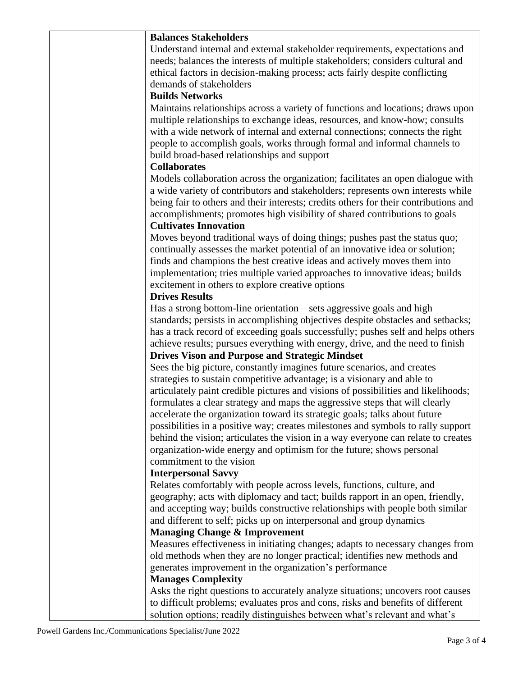| <b>Balances Stakeholders</b>                                                         |
|--------------------------------------------------------------------------------------|
| Understand internal and external stakeholder requirements, expectations and          |
| needs; balances the interests of multiple stakeholders; considers cultural and       |
| ethical factors in decision-making process; acts fairly despite conflicting          |
| demands of stakeholders                                                              |
| <b>Builds Networks</b>                                                               |
| Maintains relationships across a variety of functions and locations; draws upon      |
| multiple relationships to exchange ideas, resources, and know-how; consults          |
| with a wide network of internal and external connections; connects the right         |
| people to accomplish goals, works through formal and informal channels to            |
| build broad-based relationships and support                                          |
| <b>Collaborates</b>                                                                  |
|                                                                                      |
| Models collaboration across the organization; facilitates an open dialogue with      |
| a wide variety of contributors and stakeholders; represents own interests while      |
| being fair to others and their interests; credits others for their contributions and |
| accomplishments; promotes high visibility of shared contributions to goals           |
| <b>Cultivates Innovation</b>                                                         |
| Moves beyond traditional ways of doing things; pushes past the status quo;           |
| continually assesses the market potential of an innovative idea or solution;         |
| finds and champions the best creative ideas and actively moves them into             |
| implementation; tries multiple varied approaches to innovative ideas; builds         |
| excitement in others to explore creative options                                     |
| <b>Drives Results</b>                                                                |
| Has a strong bottom-line orientation - sets aggressive goals and high                |
| standards; persists in accomplishing objectives despite obstacles and setbacks;      |
| has a track record of exceeding goals successfully; pushes self and helps others     |
| achieve results; pursues everything with energy, drive, and the need to finish       |
| <b>Drives Vison and Purpose and Strategic Mindset</b>                                |
| Sees the big picture, constantly imagines future scenarios, and creates              |
| strategies to sustain competitive advantage; is a visionary and able to              |
| articulately paint credible pictures and visions of possibilities and likelihoods;   |
| formulates a clear strategy and maps the aggressive steps that will clearly          |
| accelerate the organization toward its strategic goals; talks about future           |
|                                                                                      |
| possibilities in a positive way; creates milestones and symbols to rally support     |
| behind the vision; articulates the vision in a way everyone can relate to creates    |
| organization-wide energy and optimism for the future; shows personal                 |
| commitment to the vision                                                             |
| <b>Interpersonal Savvy</b>                                                           |
| Relates comfortably with people across levels, functions, culture, and               |
| geography; acts with diplomacy and tact; builds rapport in an open, friendly,        |
| and accepting way; builds constructive relationships with people both similar        |
| and different to self; picks up on interpersonal and group dynamics                  |
| <b>Managing Change &amp; Improvement</b>                                             |
| Measures effectiveness in initiating changes; adapts to necessary changes from       |
| old methods when they are no longer practical; identifies new methods and            |
| generates improvement in the organization's performance                              |
| <b>Manages Complexity</b>                                                            |
| Asks the right questions to accurately analyze situations; uncovers root causes      |
| to difficult problems; evaluates pros and cons, risks and benefits of different      |
| solution options; readily distinguishes between what's relevant and what's           |